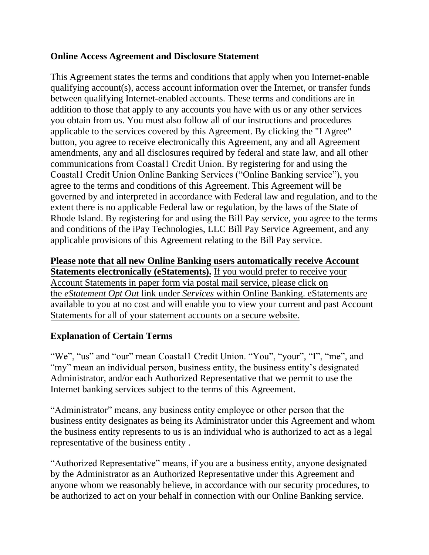### **Online Access Agreement and Disclosure Statement**

This Agreement states the terms and conditions that apply when you Internet-enable qualifying account(s), access account information over the Internet, or transfer funds between qualifying Internet-enabled accounts. These terms and conditions are in addition to those that apply to any accounts you have with us or any other services you obtain from us. You must also follow all of our instructions and procedures applicable to the services covered by this Agreement. By clicking the "I Agree" button, you agree to receive electronically this Agreement, any and all Agreement amendments, any and all disclosures required by federal and state law, and all other communications from Coastal1 Credit Union. By registering for and using the Coastal1 Credit Union Online Banking Services ("Online Banking service"), you agree to the terms and conditions of this Agreement. This Agreement will be governed by and interpreted in accordance with Federal law and regulation, and to the extent there is no applicable Federal law or regulation, by the laws of the State of Rhode Island. By registering for and using the Bill Pay service, you agree to the terms and conditions of the iPay Technologies, LLC Bill Pay Service Agreement, and any applicable provisions of this Agreement relating to the Bill Pay service.

## **Please note that all new Online Banking users automatically receive Account Statements electronically (eStatements).** If you would prefer to receive your Account Statements in paper form via postal mail service, please click on the *eStatement Opt Out* link under *Services* within Online Banking. eStatements are available to you at no cost and will enable you to view your current and past Account Statements for all of your statement accounts on a secure website.

## **Explanation of Certain Terms**

"We", "us" and "our" mean Coastal1 Credit Union. "You", "your", "I", "me", and "my" mean an individual person, business entity, the business entity's designated Administrator, and/or each Authorized Representative that we permit to use the Internet banking services subject to the terms of this Agreement.

"Administrator" means, any business entity employee or other person that the business entity designates as being its Administrator under this Agreement and whom the business entity represents to us is an individual who is authorized to act as a legal representative of the business entity .

"Authorized Representative" means, if you are a business entity, anyone designated by the Administrator as an Authorized Representative under this Agreement and anyone whom we reasonably believe, in accordance with our security procedures, to be authorized to act on your behalf in connection with our Online Banking service.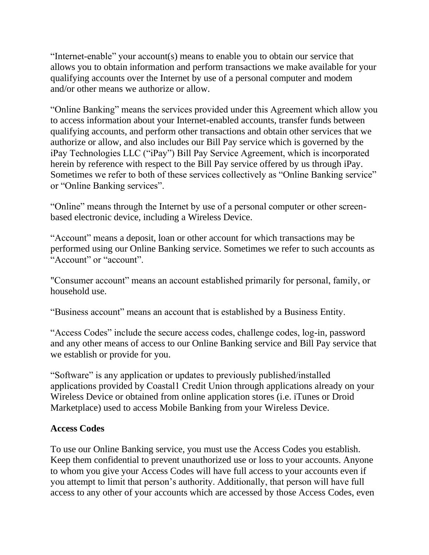"Internet-enable" your account(s) means to enable you to obtain our service that allows you to obtain information and perform transactions we make available for your qualifying accounts over the Internet by use of a personal computer and modem and/or other means we authorize or allow.

"Online Banking" means the services provided under this Agreement which allow you to access information about your Internet-enabled accounts, transfer funds between qualifying accounts, and perform other transactions and obtain other services that we authorize or allow, and also includes our Bill Pay service which is governed by the iPay Technologies LLC ("iPay") Bill Pay Service Agreement, which is incorporated herein by reference with respect to the Bill Pay service offered by us through iPay. Sometimes we refer to both of these services collectively as "Online Banking service" or "Online Banking services".

"Online" means through the Internet by use of a personal computer or other screenbased electronic device, including a Wireless Device.

"Account" means a deposit, loan or other account for which transactions may be performed using our Online Banking service. Sometimes we refer to such accounts as "Account" or "account".

"Consumer account" means an account established primarily for personal, family, or household use.

"Business account" means an account that is established by a Business Entity.

"Access Codes" include the secure access codes, challenge codes, log-in, password and any other means of access to our Online Banking service and Bill Pay service that we establish or provide for you.

"Software" is any application or updates to previously published/installed applications provided by Coastal1 Credit Union through applications already on your Wireless Device or obtained from online application stores (i.e. iTunes or Droid Marketplace) used to access Mobile Banking from your Wireless Device.

## **Access Codes**

To use our Online Banking service, you must use the Access Codes you establish. Keep them confidential to prevent unauthorized use or loss to your accounts. Anyone to whom you give your Access Codes will have full access to your accounts even if you attempt to limit that person's authority. Additionally, that person will have full access to any other of your accounts which are accessed by those Access Codes, even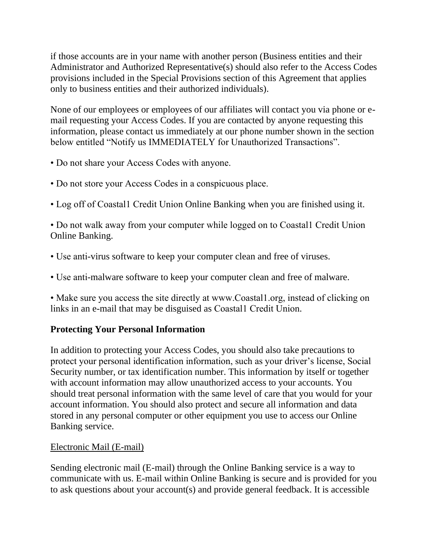if those accounts are in your name with another person (Business entities and their Administrator and Authorized Representative(s) should also refer to the Access Codes provisions included in the Special Provisions section of this Agreement that applies only to business entities and their authorized individuals).

None of our employees or employees of our affiliates will contact you via phone or email requesting your Access Codes. If you are contacted by anyone requesting this information, please contact us immediately at our phone number shown in the section below entitled "Notify us IMMEDIATELY for Unauthorized Transactions".

- Do not share your Access Codes with anyone.
- Do not store your Access Codes in a conspicuous place.
- Log off of Coastal1 Credit Union Online Banking when you are finished using it.

• Do not walk away from your computer while logged on to Coastall Credit Union Online Banking.

- Use anti-virus software to keep your computer clean and free of viruses.
- Use anti-malware software to keep your computer clean and free of malware.

• Make sure you access the site directly at www.Coastal1.org, instead of clicking on links in an e-mail that may be disguised as Coastal1 Credit Union.

# **Protecting Your Personal Information**

In addition to protecting your Access Codes, you should also take precautions to protect your personal identification information, such as your driver's license, Social Security number, or tax identification number. This information by itself or together with account information may allow unauthorized access to your accounts. You should treat personal information with the same level of care that you would for your account information. You should also protect and secure all information and data stored in any personal computer or other equipment you use to access our Online Banking service.

## Electronic Mail (E-mail)

Sending electronic mail (E-mail) through the Online Banking service is a way to communicate with us. E-mail within Online Banking is secure and is provided for you to ask questions about your account(s) and provide general feedback. It is accessible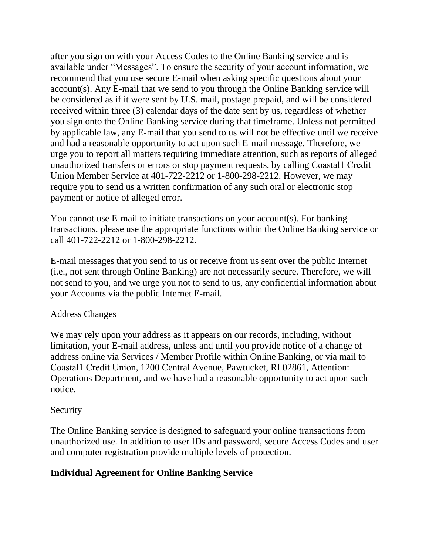after you sign on with your Access Codes to the Online Banking service and is available under "Messages". To ensure the security of your account information, we recommend that you use secure E-mail when asking specific questions about your account(s). Any E-mail that we send to you through the Online Banking service will be considered as if it were sent by U.S. mail, postage prepaid, and will be considered received within three (3) calendar days of the date sent by us, regardless of whether you sign onto the Online Banking service during that timeframe. Unless not permitted by applicable law, any E-mail that you send to us will not be effective until we receive and had a reasonable opportunity to act upon such E-mail message. Therefore, we urge you to report all matters requiring immediate attention, such as reports of alleged unauthorized transfers or errors or stop payment requests, by calling Coastal1 Credit Union Member Service at 401-722-2212 or 1-800-298-2212. However, we may require you to send us a written confirmation of any such oral or electronic stop payment or notice of alleged error.

You cannot use E-mail to initiate transactions on your account(s). For banking transactions, please use the appropriate functions within the Online Banking service or call 401-722-2212 or 1-800-298-2212.

E-mail messages that you send to us or receive from us sent over the public Internet (i.e., not sent through Online Banking) are not necessarily secure. Therefore, we will not send to you, and we urge you not to send to us, any confidential information about your Accounts via the public Internet E-mail.

#### Address Changes

We may rely upon your address as it appears on our records, including, without limitation, your E-mail address, unless and until you provide notice of a change of address online via Services / Member Profile within Online Banking, or via mail to Coastal1 Credit Union, 1200 Central Avenue, Pawtucket, RI 02861, Attention: Operations Department, and we have had a reasonable opportunity to act upon such notice.

#### **Security**

The Online Banking service is designed to safeguard your online transactions from unauthorized use. In addition to user IDs and password, secure Access Codes and user and computer registration provide multiple levels of protection.

## **Individual Agreement for Online Banking Service**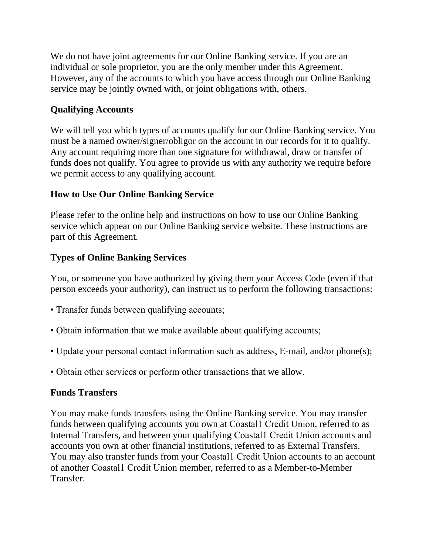We do not have joint agreements for our Online Banking service. If you are an individual or sole proprietor, you are the only member under this Agreement. However, any of the accounts to which you have access through our Online Banking service may be jointly owned with, or joint obligations with, others.

## **Qualifying Accounts**

We will tell you which types of accounts qualify for our Online Banking service. You must be a named owner/signer/obligor on the account in our records for it to qualify. Any account requiring more than one signature for withdrawal, draw or transfer of funds does not qualify. You agree to provide us with any authority we require before we permit access to any qualifying account.

## **How to Use Our Online Banking Service**

Please refer to the online help and instructions on how to use our Online Banking service which appear on our Online Banking service website. These instructions are part of this Agreement.

## **Types of Online Banking Services**

You, or someone you have authorized by giving them your Access Code (even if that person exceeds your authority), can instruct us to perform the following transactions:

- Transfer funds between qualifying accounts;
- Obtain information that we make available about qualifying accounts;
- Update your personal contact information such as address, E-mail, and/or phone(s);
- Obtain other services or perform other transactions that we allow.

# **Funds Transfers**

You may make funds transfers using the Online Banking service. You may transfer funds between qualifying accounts you own at Coastal1 Credit Union, referred to as Internal Transfers, and between your qualifying Coastal1 Credit Union accounts and accounts you own at other financial institutions, referred to as External Transfers. You may also transfer funds from your Coastal1 Credit Union accounts to an account of another Coastal1 Credit Union member, referred to as a Member-to-Member Transfer.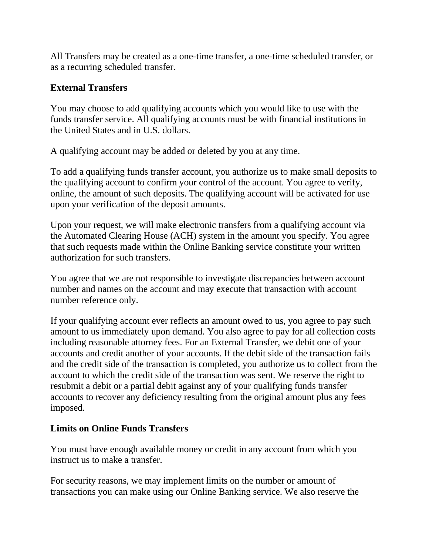All Transfers may be created as a one-time transfer, a one-time scheduled transfer, or as a recurring scheduled transfer.

### **External Transfers**

You may choose to add qualifying accounts which you would like to use with the funds transfer service. All qualifying accounts must be with financial institutions in the United States and in U.S. dollars.

A qualifying account may be added or deleted by you at any time.

To add a qualifying funds transfer account, you authorize us to make small deposits to the qualifying account to confirm your control of the account. You agree to verify, online, the amount of such deposits. The qualifying account will be activated for use upon your verification of the deposit amounts.

Upon your request, we will make electronic transfers from a qualifying account via the Automated Clearing House (ACH) system in the amount you specify. You agree that such requests made within the Online Banking service constitute your written authorization for such transfers.

You agree that we are not responsible to investigate discrepancies between account number and names on the account and may execute that transaction with account number reference only.

If your qualifying account ever reflects an amount owed to us, you agree to pay such amount to us immediately upon demand. You also agree to pay for all collection costs including reasonable attorney fees. For an External Transfer, we debit one of your accounts and credit another of your accounts. If the debit side of the transaction fails and the credit side of the transaction is completed, you authorize us to collect from the account to which the credit side of the transaction was sent. We reserve the right to resubmit a debit or a partial debit against any of your qualifying funds transfer accounts to recover any deficiency resulting from the original amount plus any fees imposed.

#### **Limits on Online Funds Transfers**

You must have enough available money or credit in any account from which you instruct us to make a transfer.

For security reasons, we may implement limits on the number or amount of transactions you can make using our Online Banking service. We also reserve the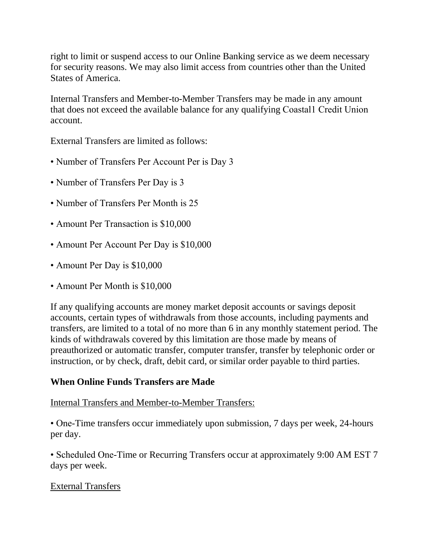right to limit or suspend access to our Online Banking service as we deem necessary for security reasons. We may also limit access from countries other than the United States of America.

Internal Transfers and Member-to-Member Transfers may be made in any amount that does not exceed the available balance for any qualifying Coastal1 Credit Union account.

External Transfers are limited as follows:

- Number of Transfers Per Account Per is Day 3
- Number of Transfers Per Day is 3
- Number of Transfers Per Month is 25
- Amount Per Transaction is \$10,000
- Amount Per Account Per Day is \$10,000
- Amount Per Day is \$10,000
- Amount Per Month is \$10,000

If any qualifying accounts are money market deposit accounts or savings deposit accounts, certain types of withdrawals from those accounts, including payments and transfers, are limited to a total of no more than 6 in any monthly statement period. The kinds of withdrawals covered by this limitation are those made by means of preauthorized or automatic transfer, computer transfer, transfer by telephonic order or instruction, or by check, draft, debit card, or similar order payable to third parties.

## **When Online Funds Transfers are Made**

## Internal Transfers and Member-to-Member Transfers:

• One-Time transfers occur immediately upon submission, 7 days per week, 24-hours per day.

• Scheduled One-Time or Recurring Transfers occur at approximately 9:00 AM EST 7 days per week.

## External Transfers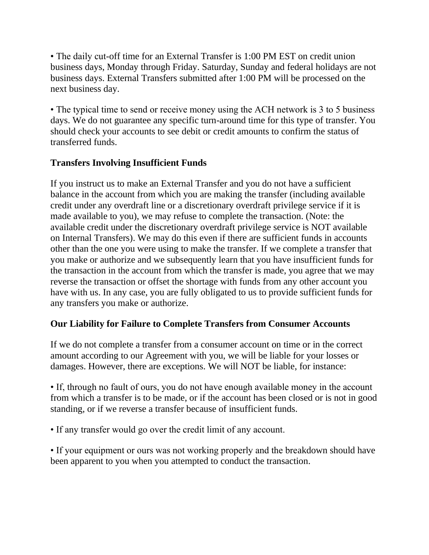• The daily cut-off time for an External Transfer is 1:00 PM EST on credit union business days, Monday through Friday. Saturday, Sunday and federal holidays are not business days. External Transfers submitted after 1:00 PM will be processed on the next business day.

• The typical time to send or receive money using the ACH network is 3 to 5 business days. We do not guarantee any specific turn-around time for this type of transfer. You should check your accounts to see debit or credit amounts to confirm the status of transferred funds.

## **Transfers Involving Insufficient Funds**

If you instruct us to make an External Transfer and you do not have a sufficient balance in the account from which you are making the transfer (including available credit under any overdraft line or a discretionary overdraft privilege service if it is made available to you), we may refuse to complete the transaction. (Note: the available credit under the discretionary overdraft privilege service is NOT available on Internal Transfers). We may do this even if there are sufficient funds in accounts other than the one you were using to make the transfer. If we complete a transfer that you make or authorize and we subsequently learn that you have insufficient funds for the transaction in the account from which the transfer is made, you agree that we may reverse the transaction or offset the shortage with funds from any other account you have with us. In any case, you are fully obligated to us to provide sufficient funds for any transfers you make or authorize.

# **Our Liability for Failure to Complete Transfers from Consumer Accounts**

If we do not complete a transfer from a consumer account on time or in the correct amount according to our Agreement with you, we will be liable for your losses or damages. However, there are exceptions. We will NOT be liable, for instance:

• If, through no fault of ours, you do not have enough available money in the account from which a transfer is to be made, or if the account has been closed or is not in good standing, or if we reverse a transfer because of insufficient funds.

• If any transfer would go over the credit limit of any account.

• If your equipment or ours was not working properly and the breakdown should have been apparent to you when you attempted to conduct the transaction.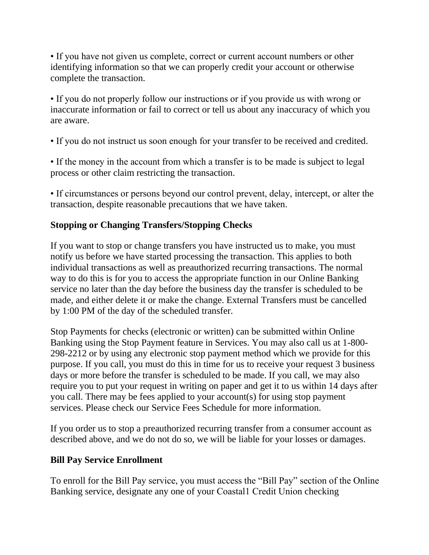• If you have not given us complete, correct or current account numbers or other identifying information so that we can properly credit your account or otherwise complete the transaction.

• If you do not properly follow our instructions or if you provide us with wrong or inaccurate information or fail to correct or tell us about any inaccuracy of which you are aware.

• If you do not instruct us soon enough for your transfer to be received and credited.

• If the money in the account from which a transfer is to be made is subject to legal process or other claim restricting the transaction.

• If circumstances or persons beyond our control prevent, delay, intercept, or alter the transaction, despite reasonable precautions that we have taken.

# **Stopping or Changing Transfers/Stopping Checks**

If you want to stop or change transfers you have instructed us to make, you must notify us before we have started processing the transaction. This applies to both individual transactions as well as preauthorized recurring transactions. The normal way to do this is for you to access the appropriate function in our Online Banking service no later than the day before the business day the transfer is scheduled to be made, and either delete it or make the change. External Transfers must be cancelled by 1:00 PM of the day of the scheduled transfer.

Stop Payments for checks (electronic or written) can be submitted within Online Banking using the Stop Payment feature in Services. You may also call us at 1-800- 298-2212 or by using any electronic stop payment method which we provide for this purpose. If you call, you must do this in time for us to receive your request 3 business days or more before the transfer is scheduled to be made. If you call, we may also require you to put your request in writing on paper and get it to us within 14 days after you call. There may be fees applied to your account(s) for using stop payment services. Please check our Service Fees Schedule for more information.

If you order us to stop a preauthorized recurring transfer from a consumer account as described above, and we do not do so, we will be liable for your losses or damages.

# **Bill Pay Service Enrollment**

To enroll for the Bill Pay service, you must access the "Bill Pay" section of the Online Banking service, designate any one of your Coastal1 Credit Union checking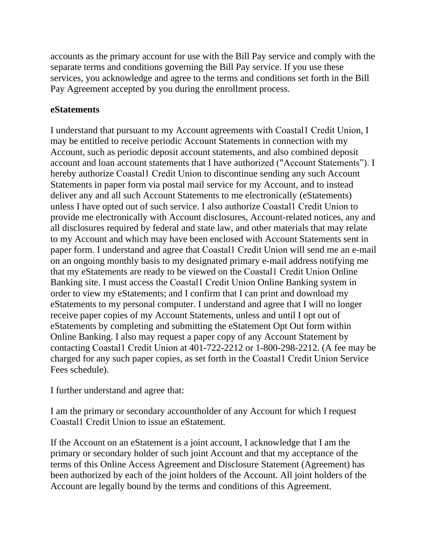accounts as the primary account for use with the Bill Pay service and comply with the separate terms and conditions governing the Bill Pay service. If you use these services, you acknowledge and agree to the terms and conditions set forth in the Bill Pay Agreement accepted by you during the enrollment process.

### **eStatements**

I understand that pursuant to my Account agreements with Coastal1 Credit Union, I may be entitled to receive periodic Account Statements in connection with my Account, such as periodic deposit account statements, and also combined deposit account and loan account statements that I have authorized ("Account Statements"). I hereby authorize Coastal1 Credit Union to discontinue sending any such Account Statements in paper form via postal mail service for my Account, and to instead deliver any and all such Account Statements to me electronically (eStatements) unless I have opted out of such service. I also authorize Coastal1 Credit Union to provide me electronically with Account disclosures, Account-related notices, any and all disclosures required by federal and state law, and other materials that may relate to my Account and which may have been enclosed with Account Statements sent in paper form. I understand and agree that Coastal1 Credit Union will send me an e-mail on an ongoing monthly basis to my designated primary e-mail address notifying me that my eStatements are ready to be viewed on the Coastal1 Credit Union Online Banking site. I must access the Coastal1 Credit Union Online Banking system in order to view my eStatements; and I confirm that I can print and download my eStatements to my personal computer. I understand and agree that I will no longer receive paper copies of my Account Statements, unless and until I opt out of eStatements by completing and submitting the eStatement Opt Out form within Online Banking. I also may request a paper copy of any Account Statement by contacting Coastal1 Credit Union at 401-722-2212 or 1-800-298-2212. (A fee may be charged for any such paper copies, as set forth in the Coastal1 Credit Union Service Fees schedule).

I further understand and agree that:

I am the primary or secondary accountholder of any Account for which I request Coastal1 Credit Union to issue an eStatement.

If the Account on an eStatement is a joint account, I acknowledge that I am the primary or secondary holder of such joint Account and that my acceptance of the terms of this Online Access Agreement and Disclosure Statement (Agreement) has been authorized by each of the joint holders of the Account. All joint holders of the Account are legally bound by the terms and conditions of this Agreement.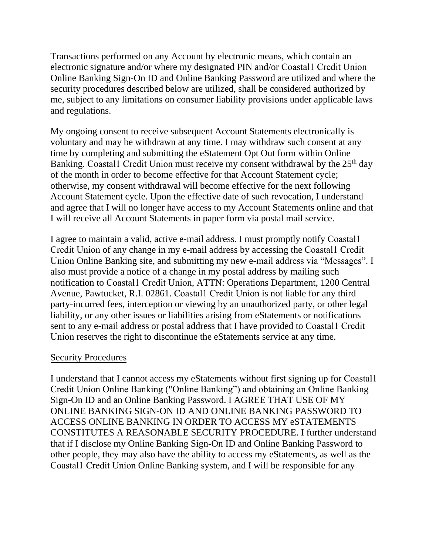Transactions performed on any Account by electronic means, which contain an electronic signature and/or where my designated PIN and/or Coastal1 Credit Union Online Banking Sign-On ID and Online Banking Password are utilized and where the security procedures described below are utilized, shall be considered authorized by me, subject to any limitations on consumer liability provisions under applicable laws and regulations.

My ongoing consent to receive subsequent Account Statements electronically is voluntary and may be withdrawn at any time. I may withdraw such consent at any time by completing and submitting the eStatement Opt Out form within Online Banking. Coastall Credit Union must receive my consent withdrawal by the 25<sup>th</sup> day of the month in order to become effective for that Account Statement cycle; otherwise, my consent withdrawal will become effective for the next following Account Statement cycle. Upon the effective date of such revocation, I understand and agree that I will no longer have access to my Account Statements online and that I will receive all Account Statements in paper form via postal mail service.

I agree to maintain a valid, active e-mail address. I must promptly notify Coastal1 Credit Union of any change in my e-mail address by accessing the Coastal1 Credit Union Online Banking site, and submitting my new e-mail address via "Messages". I also must provide a notice of a change in my postal address by mailing such notification to Coastal1 Credit Union, ATTN: Operations Department, 1200 Central Avenue, Pawtucket, R.I. 02861. Coastal1 Credit Union is not liable for any third party-incurred fees, interception or viewing by an unauthorized party, or other legal liability, or any other issues or liabilities arising from eStatements or notifications sent to any e-mail address or postal address that I have provided to Coastal1 Credit Union reserves the right to discontinue the eStatements service at any time.

#### Security Procedures

I understand that I cannot access my eStatements without first signing up for Coastal1 Credit Union Online Banking ("Online Banking") and obtaining an Online Banking Sign-On ID and an Online Banking Password. I AGREE THAT USE OF MY ONLINE BANKING SIGN-ON ID AND ONLINE BANKING PASSWORD TO ACCESS ONLINE BANKING IN ORDER TO ACCESS MY eSTATEMENTS CONSTITUTES A REASONABLE SECURITY PROCEDURE. I further understand that if I disclose my Online Banking Sign-On ID and Online Banking Password to other people, they may also have the ability to access my eStatements, as well as the Coastal1 Credit Union Online Banking system, and I will be responsible for any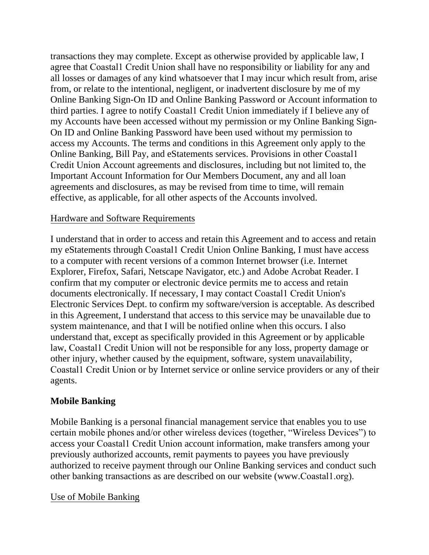transactions they may complete. Except as otherwise provided by applicable law, I agree that Coastal1 Credit Union shall have no responsibility or liability for any and all losses or damages of any kind whatsoever that I may incur which result from, arise from, or relate to the intentional, negligent, or inadvertent disclosure by me of my Online Banking Sign-On ID and Online Banking Password or Account information to third parties. I agree to notify Coastal1 Credit Union immediately if I believe any of my Accounts have been accessed without my permission or my Online Banking Sign-On ID and Online Banking Password have been used without my permission to access my Accounts. The terms and conditions in this Agreement only apply to the Online Banking, Bill Pay, and eStatements services. Provisions in other Coastal1 Credit Union Account agreements and disclosures, including but not limited to, the Important Account Information for Our Members Document, any and all loan agreements and disclosures, as may be revised from time to time, will remain effective, as applicable, for all other aspects of the Accounts involved.

#### Hardware and Software Requirements

I understand that in order to access and retain this Agreement and to access and retain my eStatements through Coastal1 Credit Union Online Banking, I must have access to a computer with recent versions of a common Internet browser (i.e. Internet Explorer, Firefox, Safari, Netscape Navigator, etc.) and Adobe Acrobat Reader. I confirm that my computer or electronic device permits me to access and retain documents electronically. If necessary, I may contact Coastal1 Credit Union's Electronic Services Dept. to confirm my software/version is acceptable. As described in this Agreement, I understand that access to this service may be unavailable due to system maintenance, and that I will be notified online when this occurs. I also understand that, except as specifically provided in this Agreement or by applicable law, Coastal1 Credit Union will not be responsible for any loss, property damage or other injury, whether caused by the equipment, software, system unavailability, Coastal1 Credit Union or by Internet service or online service providers or any of their agents.

## **Mobile Banking**

Mobile Banking is a personal financial management service that enables you to use certain mobile phones and/or other wireless devices (together, "Wireless Devices") to access your Coastal1 Credit Union account information, make transfers among your previously authorized accounts, remit payments to payees you have previously authorized to receive payment through our Online Banking services and conduct such other banking transactions as are described on our website (www.Coastal1.org).

## Use of Mobile Banking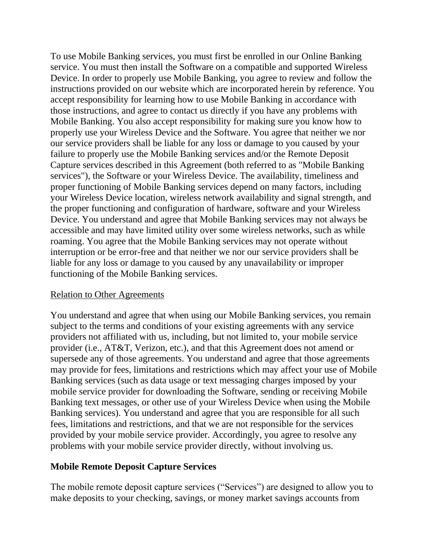To use Mobile Banking services, you must first be enrolled in our Online Banking service. You must then install the Software on a compatible and supported Wireless Device. In order to properly use Mobile Banking, you agree to review and follow the instructions provided on our website which are incorporated herein by reference. You accept responsibility for learning how to use Mobile Banking in accordance with those instructions, and agree to contact us directly if you have any problems with Mobile Banking. You also accept responsibility for making sure you know how to properly use your Wireless Device and the Software. You agree that neither we nor our service providers shall be liable for any loss or damage to you caused by your failure to properly use the Mobile Banking services and/or the Remote Deposit Capture services described in this Agreement (both referred to as "Mobile Banking services"), the Software or your Wireless Device. The availability, timeliness and proper functioning of Mobile Banking services depend on many factors, including your Wireless Device location, wireless network availability and signal strength, and the proper functioning and configuration of hardware, software and your Wireless Device. You understand and agree that Mobile Banking services may not always be accessible and may have limited utility over some wireless networks, such as while roaming. You agree that the Mobile Banking services may not operate without interruption or be error-free and that neither we nor our service providers shall be liable for any loss or damage to you caused by any unavailability or improper functioning of the Mobile Banking services.

#### Relation to Other Agreements

You understand and agree that when using our Mobile Banking services, you remain subject to the terms and conditions of your existing agreements with any service providers not affiliated with us, including, but not limited to, your mobile service provider (i.e., AT&T, Verizon, etc.), and that this Agreement does not amend or supersede any of those agreements. You understand and agree that those agreements may provide for fees, limitations and restrictions which may affect your use of Mobile Banking services (such as data usage or text messaging charges imposed by your mobile service provider for downloading the Software, sending or receiving Mobile Banking text messages, or other use of your Wireless Device when using the Mobile Banking services). You understand and agree that you are responsible for all such fees, limitations and restrictions, and that we are not responsible for the services provided by your mobile service provider. Accordingly, you agree to resolve any problems with your mobile service provider directly, without involving us.

#### **Mobile Remote Deposit Capture Services**

The mobile remote deposit capture services ("Services") are designed to allow you to make deposits to your checking, savings, or money market savings accounts from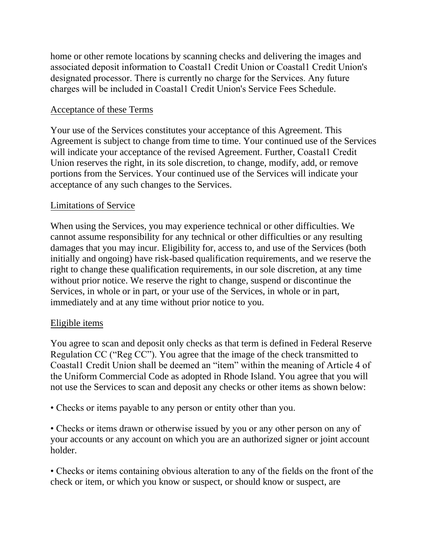home or other remote locations by scanning checks and delivering the images and associated deposit information to Coastal1 Credit Union or Coastal1 Credit Union's designated processor. There is currently no charge for the Services. Any future charges will be included in Coastal1 Credit Union's Service Fees Schedule.

## Acceptance of these Terms

Your use of the Services constitutes your acceptance of this Agreement. This Agreement is subject to change from time to time. Your continued use of the Services will indicate your acceptance of the revised Agreement. Further, Coastal1 Credit Union reserves the right, in its sole discretion, to change, modify, add, or remove portions from the Services. Your continued use of the Services will indicate your acceptance of any such changes to the Services.

## Limitations of Service

When using the Services, you may experience technical or other difficulties. We cannot assume responsibility for any technical or other difficulties or any resulting damages that you may incur. Eligibility for, access to, and use of the Services (both initially and ongoing) have risk-based qualification requirements, and we reserve the right to change these qualification requirements, in our sole discretion, at any time without prior notice. We reserve the right to change, suspend or discontinue the Services, in whole or in part, or your use of the Services, in whole or in part, immediately and at any time without prior notice to you.

## Eligible items

You agree to scan and deposit only checks as that term is defined in Federal Reserve Regulation CC ("Reg CC"). You agree that the image of the check transmitted to Coastal1 Credit Union shall be deemed an "item" within the meaning of Article 4 of the Uniform Commercial Code as adopted in Rhode Island. You agree that you will not use the Services to scan and deposit any checks or other items as shown below:

• Checks or items payable to any person or entity other than you.

• Checks or items drawn or otherwise issued by you or any other person on any of your accounts or any account on which you are an authorized signer or joint account holder.

• Checks or items containing obvious alteration to any of the fields on the front of the check or item, or which you know or suspect, or should know or suspect, are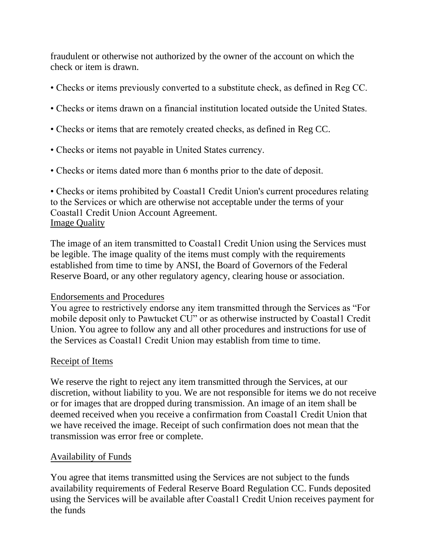fraudulent or otherwise not authorized by the owner of the account on which the check or item is drawn.

- Checks or items previously converted to a substitute check, as defined in Reg CC.
- Checks or items drawn on a financial institution located outside the United States.
- Checks or items that are remotely created checks, as defined in Reg CC.
- Checks or items not payable in United States currency.
- Checks or items dated more than 6 months prior to the date of deposit.

• Checks or items prohibited by Coastall Credit Union's current procedures relating to the Services or which are otherwise not acceptable under the terms of your Coastal1 Credit Union Account Agreement. **Image Quality** 

The image of an item transmitted to Coastal1 Credit Union using the Services must be legible. The image quality of the items must comply with the requirements established from time to time by ANSI, the Board of Governors of the Federal Reserve Board, or any other regulatory agency, clearing house or association.

## Endorsements and Procedures

You agree to restrictively endorse any item transmitted through the Services as "For mobile deposit only to Pawtucket CU" or as otherwise instructed by Coastal1 Credit Union. You agree to follow any and all other procedures and instructions for use of the Services as Coastal1 Credit Union may establish from time to time.

## Receipt of Items

We reserve the right to reject any item transmitted through the Services, at our discretion, without liability to you. We are not responsible for items we do not receive or for images that are dropped during transmission. An image of an item shall be deemed received when you receive a confirmation from Coastal1 Credit Union that we have received the image. Receipt of such confirmation does not mean that the transmission was error free or complete.

# Availability of Funds

You agree that items transmitted using the Services are not subject to the funds availability requirements of Federal Reserve Board Regulation CC. Funds deposited using the Services will be available after Coastal1 Credit Union receives payment for the funds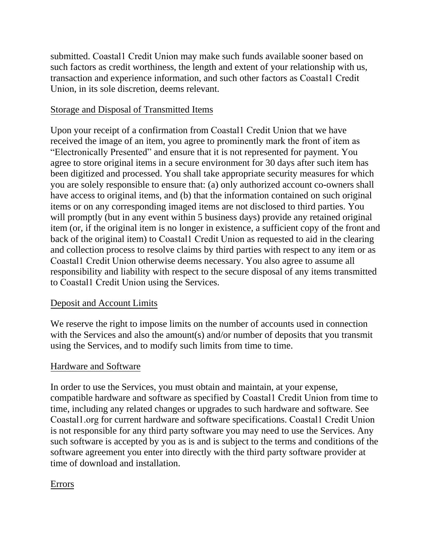submitted. Coastal1 Credit Union may make such funds available sooner based on such factors as credit worthiness, the length and extent of your relationship with us, transaction and experience information, and such other factors as Coastal1 Credit Union, in its sole discretion, deems relevant.

## Storage and Disposal of Transmitted Items

Upon your receipt of a confirmation from Coastal1 Credit Union that we have received the image of an item, you agree to prominently mark the front of item as "Electronically Presented" and ensure that it is not represented for payment. You agree to store original items in a secure environment for 30 days after such item has been digitized and processed. You shall take appropriate security measures for which you are solely responsible to ensure that: (a) only authorized account co-owners shall have access to original items, and (b) that the information contained on such original items or on any corresponding imaged items are not disclosed to third parties. You will promptly (but in any event within 5 business days) provide any retained original item (or, if the original item is no longer in existence, a sufficient copy of the front and back of the original item) to Coastal1 Credit Union as requested to aid in the clearing and collection process to resolve claims by third parties with respect to any item or as Coastal1 Credit Union otherwise deems necessary. You also agree to assume all responsibility and liability with respect to the secure disposal of any items transmitted to Coastal1 Credit Union using the Services.

## Deposit and Account Limits

We reserve the right to impose limits on the number of accounts used in connection with the Services and also the amount(s) and/or number of deposits that you transmit using the Services, and to modify such limits from time to time.

## Hardware and Software

In order to use the Services, you must obtain and maintain, at your expense, compatible hardware and software as specified by Coastal1 Credit Union from time to time, including any related changes or upgrades to such hardware and software. See Coastal1.org for current hardware and software specifications. Coastal1 Credit Union is not responsible for any third party software you may need to use the Services. Any such software is accepted by you as is and is subject to the terms and conditions of the software agreement you enter into directly with the third party software provider at time of download and installation.

# Errors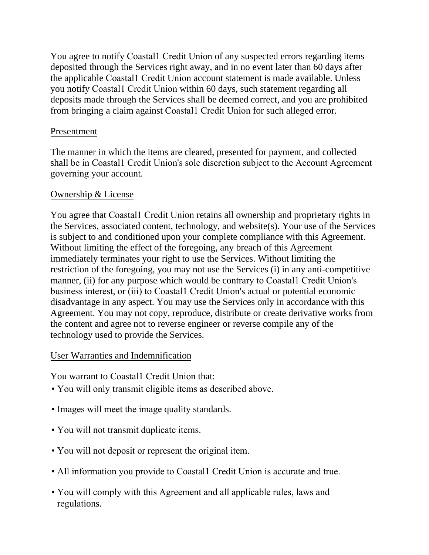You agree to notify Coastal1 Credit Union of any suspected errors regarding items deposited through the Services right away, and in no event later than 60 days after the applicable Coastal1 Credit Union account statement is made available. Unless you notify Coastal1 Credit Union within 60 days, such statement regarding all deposits made through the Services shall be deemed correct, and you are prohibited from bringing a claim against Coastal1 Credit Union for such alleged error.

### Presentment

The manner in which the items are cleared, presented for payment, and collected shall be in Coastal1 Credit Union's sole discretion subject to the Account Agreement governing your account.

### Ownership & License

You agree that Coastal1 Credit Union retains all ownership and proprietary rights in the Services, associated content, technology, and website(s). Your use of the Services is subject to and conditioned upon your complete compliance with this Agreement. Without limiting the effect of the foregoing, any breach of this Agreement immediately terminates your right to use the Services. Without limiting the restriction of the foregoing, you may not use the Services (i) in any anti-competitive manner, (ii) for any purpose which would be contrary to Coastall Credit Union's business interest, or (iii) to Coastal1 Credit Union's actual or potential economic disadvantage in any aspect. You may use the Services only in accordance with this Agreement. You may not copy, reproduce, distribute or create derivative works from the content and agree not to reverse engineer or reverse compile any of the technology used to provide the Services.

## User Warranties and Indemnification

You warrant to Coastal1 Credit Union that:

- You will only transmit eligible items as described above.
- Images will meet the image quality standards.
- You will not transmit duplicate items.
- You will not deposit or represent the original item.
- All information you provide to Coastal1 Credit Union is accurate and true.
- You will comply with this Agreement and all applicable rules, laws and regulations.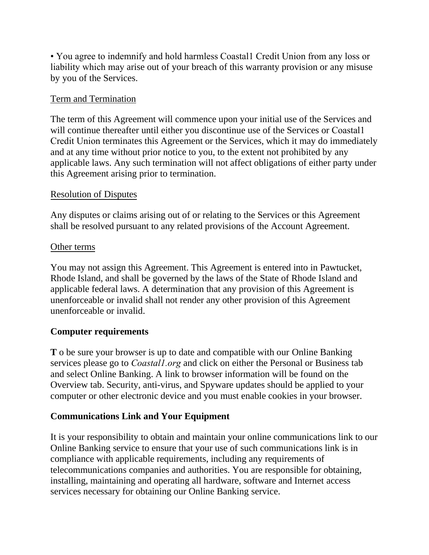• You agree to indemnify and hold harmless Coastal1 Credit Union from any loss or liability which may arise out of your breach of this warranty provision or any misuse by you of the Services.

### Term and Termination

The term of this Agreement will commence upon your initial use of the Services and will continue thereafter until either you discontinue use of the Services or Coastall Credit Union terminates this Agreement or the Services, which it may do immediately and at any time without prior notice to you, to the extent not prohibited by any applicable laws. Any such termination will not affect obligations of either party under this Agreement arising prior to termination.

### Resolution of Disputes

Any disputes or claims arising out of or relating to the Services or this Agreement shall be resolved pursuant to any related provisions of the Account Agreement.

### Other terms

You may not assign this Agreement. This Agreement is entered into in Pawtucket, Rhode Island, and shall be governed by the laws of the State of Rhode Island and applicable federal laws. A determination that any provision of this Agreement is unenforceable or invalid shall not render any other provision of this Agreement unenforceable or invalid.

## **Computer requirements**

**T** o be sure your browser is up to date and compatible with our Online Banking services please go to *Coastal1.org* and click on either the Personal or Business tab and select Online Banking. A link to browser information will be found on the Overview tab. Security, anti-virus, and Spyware updates should be applied to your computer or other electronic device and you must enable cookies in your browser.

## **Communications Link and Your Equipment**

It is your responsibility to obtain and maintain your online communications link to our Online Banking service to ensure that your use of such communications link is in compliance with applicable requirements, including any requirements of telecommunications companies and authorities. You are responsible for obtaining, installing, maintaining and operating all hardware, software and Internet access services necessary for obtaining our Online Banking service.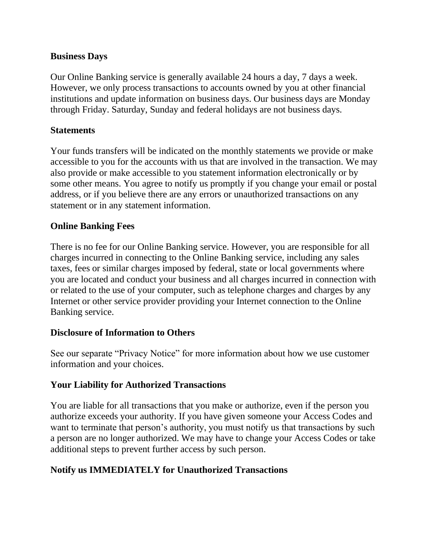### **Business Days**

Our Online Banking service is generally available 24 hours a day, 7 days a week. However, we only process transactions to accounts owned by you at other financial institutions and update information on business days. Our business days are Monday through Friday. Saturday, Sunday and federal holidays are not business days.

### **Statements**

Your funds transfers will be indicated on the monthly statements we provide or make accessible to you for the accounts with us that are involved in the transaction. We may also provide or make accessible to you statement information electronically or by some other means. You agree to notify us promptly if you change your email or postal address, or if you believe there are any errors or unauthorized transactions on any statement or in any statement information.

## **Online Banking Fees**

There is no fee for our Online Banking service. However, you are responsible for all charges incurred in connecting to the Online Banking service, including any sales taxes, fees or similar charges imposed by federal, state or local governments where you are located and conduct your business and all charges incurred in connection with or related to the use of your computer, such as telephone charges and charges by any Internet or other service provider providing your Internet connection to the Online Banking service.

## **Disclosure of Information to Others**

See our separate "Privacy Notice" for more information about how we use customer information and your choices.

## **Your Liability for Authorized Transactions**

You are liable for all transactions that you make or authorize, even if the person you authorize exceeds your authority. If you have given someone your Access Codes and want to terminate that person's authority, you must notify us that transactions by such a person are no longer authorized. We may have to change your Access Codes or take additional steps to prevent further access by such person.

## **Notify us IMMEDIATELY for Unauthorized Transactions**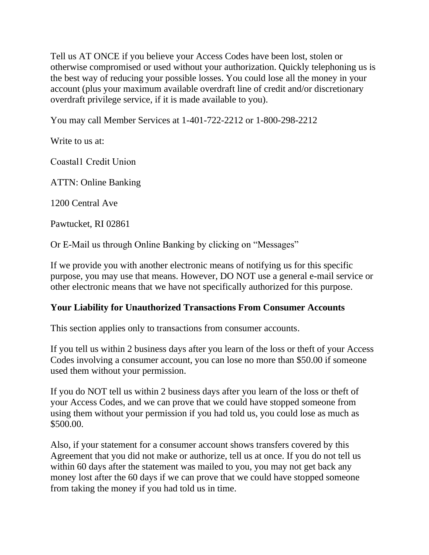Tell us AT ONCE if you believe your Access Codes have been lost, stolen or otherwise compromised or used without your authorization. Quickly telephoning us is the best way of reducing your possible losses. You could lose all the money in your account (plus your maximum available overdraft line of credit and/or discretionary overdraft privilege service, if it is made available to you).

You may call Member Services at 1-401-722-2212 or 1-800-298-2212

Write to us at:

Coastal1 Credit Union

ATTN: Online Banking

1200 Central Ave

Pawtucket, RI 02861

Or E-Mail us through Online Banking by clicking on "Messages"

If we provide you with another electronic means of notifying us for this specific purpose, you may use that means. However, DO NOT use a general e-mail service or other electronic means that we have not specifically authorized for this purpose.

#### **Your Liability for Unauthorized Transactions From Consumer Accounts**

This section applies only to transactions from consumer accounts.

If you tell us within 2 business days after you learn of the loss or theft of your Access Codes involving a consumer account, you can lose no more than \$50.00 if someone used them without your permission.

If you do NOT tell us within 2 business days after you learn of the loss or theft of your Access Codes, and we can prove that we could have stopped someone from using them without your permission if you had told us, you could lose as much as \$500.00.

Also, if your statement for a consumer account shows transfers covered by this Agreement that you did not make or authorize, tell us at once. If you do not tell us within 60 days after the statement was mailed to you, you may not get back any money lost after the 60 days if we can prove that we could have stopped someone from taking the money if you had told us in time.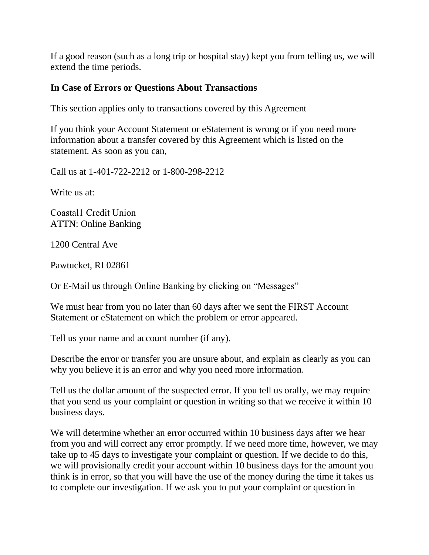If a good reason (such as a long trip or hospital stay) kept you from telling us, we will extend the time periods.

### **In Case of Errors or Questions About Transactions**

This section applies only to transactions covered by this Agreement

If you think your Account Statement or eStatement is wrong or if you need more information about a transfer covered by this Agreement which is listed on the statement. As soon as you can,

Call us at 1-401-722-2212 or 1-800-298-2212

Write us at:

Coastal1 Credit Union ATTN: Online Banking

1200 Central Ave

Pawtucket, RI 02861

Or E-Mail us through Online Banking by clicking on "Messages"

We must hear from you no later than 60 days after we sent the FIRST Account Statement or eStatement on which the problem or error appeared.

Tell us your name and account number (if any).

Describe the error or transfer you are unsure about, and explain as clearly as you can why you believe it is an error and why you need more information.

Tell us the dollar amount of the suspected error. If you tell us orally, we may require that you send us your complaint or question in writing so that we receive it within 10 business days.

We will determine whether an error occurred within 10 business days after we hear from you and will correct any error promptly. If we need more time, however, we may take up to 45 days to investigate your complaint or question. If we decide to do this, we will provisionally credit your account within 10 business days for the amount you think is in error, so that you will have the use of the money during the time it takes us to complete our investigation. If we ask you to put your complaint or question in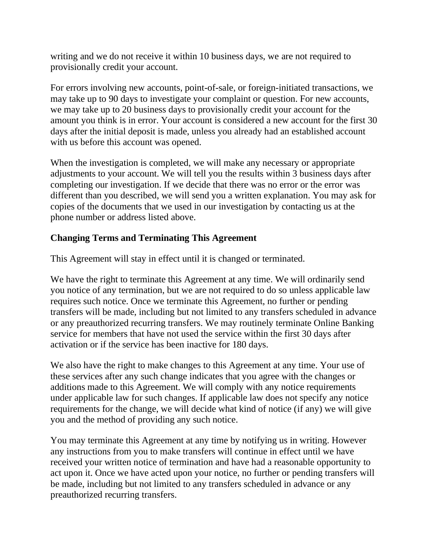writing and we do not receive it within 10 business days, we are not required to provisionally credit your account.

For errors involving new accounts, point-of-sale, or foreign-initiated transactions, we may take up to 90 days to investigate your complaint or question. For new accounts, we may take up to 20 business days to provisionally credit your account for the amount you think is in error. Your account is considered a new account for the first 30 days after the initial deposit is made, unless you already had an established account with us before this account was opened.

When the investigation is completed, we will make any necessary or appropriate adjustments to your account. We will tell you the results within 3 business days after completing our investigation. If we decide that there was no error or the error was different than you described, we will send you a written explanation. You may ask for copies of the documents that we used in our investigation by contacting us at the phone number or address listed above.

## **Changing Terms and Terminating This Agreement**

This Agreement will stay in effect until it is changed or terminated.

We have the right to terminate this Agreement at any time. We will ordinarily send you notice of any termination, but we are not required to do so unless applicable law requires such notice. Once we terminate this Agreement, no further or pending transfers will be made, including but not limited to any transfers scheduled in advance or any preauthorized recurring transfers. We may routinely terminate Online Banking service for members that have not used the service within the first 30 days after activation or if the service has been inactive for 180 days.

We also have the right to make changes to this Agreement at any time. Your use of these services after any such change indicates that you agree with the changes or additions made to this Agreement. We will comply with any notice requirements under applicable law for such changes. If applicable law does not specify any notice requirements for the change, we will decide what kind of notice (if any) we will give you and the method of providing any such notice.

You may terminate this Agreement at any time by notifying us in writing. However any instructions from you to make transfers will continue in effect until we have received your written notice of termination and have had a reasonable opportunity to act upon it. Once we have acted upon your notice, no further or pending transfers will be made, including but not limited to any transfers scheduled in advance or any preauthorized recurring transfers.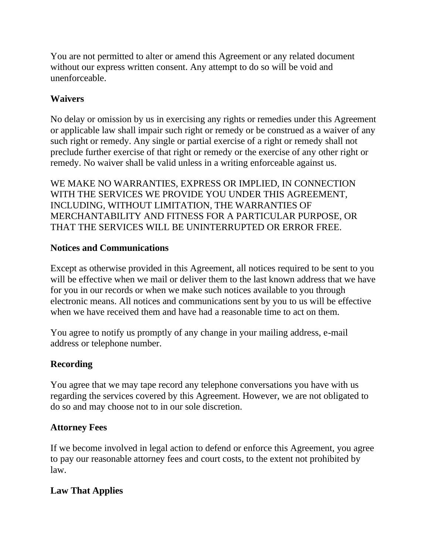You are not permitted to alter or amend this Agreement or any related document without our express written consent. Any attempt to do so will be void and unenforceable.

# **Waivers**

No delay or omission by us in exercising any rights or remedies under this Agreement or applicable law shall impair such right or remedy or be construed as a waiver of any such right or remedy. Any single or partial exercise of a right or remedy shall not preclude further exercise of that right or remedy or the exercise of any other right or remedy. No waiver shall be valid unless in a writing enforceable against us.

WE MAKE NO WARRANTIES, EXPRESS OR IMPLIED, IN CONNECTION WITH THE SERVICES WE PROVIDE YOU UNDER THIS AGREEMENT, INCLUDING, WITHOUT LIMITATION, THE WARRANTIES OF MERCHANTABILITY AND FITNESS FOR A PARTICULAR PURPOSE, OR THAT THE SERVICES WILL BE UNINTERRUPTED OR ERROR FREE.

# **Notices and Communications**

Except as otherwise provided in this Agreement, all notices required to be sent to you will be effective when we mail or deliver them to the last known address that we have for you in our records or when we make such notices available to you through electronic means. All notices and communications sent by you to us will be effective when we have received them and have had a reasonable time to act on them.

You agree to notify us promptly of any change in your mailing address, e-mail address or telephone number.

# **Recording**

You agree that we may tape record any telephone conversations you have with us regarding the services covered by this Agreement. However, we are not obligated to do so and may choose not to in our sole discretion.

# **Attorney Fees**

If we become involved in legal action to defend or enforce this Agreement, you agree to pay our reasonable attorney fees and court costs, to the extent not prohibited by law.

# **Law That Applies**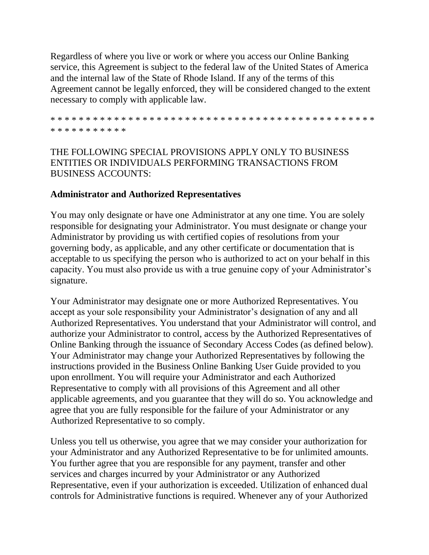Regardless of where you live or work or where you access our Online Banking service, this Agreement is subject to the federal law of the United States of America and the internal law of the State of Rhode Island. If any of the terms of this Agreement cannot be legally enforced, they will be considered changed to the extent necessary to comply with applicable law.

\* \* \* \* \* \* \* \* \* \* \* \* \* \* \* \* \* \* \* \* \* \* \* \* \* \* \* \* \* \* \* \* \* \* \* \* \* \* \* \* \* \* \* \* \* \* \* \* \* \* \* \* \* \* \* \* \*

# THE FOLLOWING SPECIAL PROVISIONS APPLY ONLY TO BUSINESS ENTITIES OR INDIVIDUALS PERFORMING TRANSACTIONS FROM BUSINESS ACCOUNTS:

### **Administrator and Authorized Representatives**

You may only designate or have one Administrator at any one time. You are solely responsible for designating your Administrator. You must designate or change your Administrator by providing us with certified copies of resolutions from your governing body, as applicable, and any other certificate or documentation that is acceptable to us specifying the person who is authorized to act on your behalf in this capacity. You must also provide us with a true genuine copy of your Administrator's signature.

Your Administrator may designate one or more Authorized Representatives. You accept as your sole responsibility your Administrator's designation of any and all Authorized Representatives. You understand that your Administrator will control, and authorize your Administrator to control, access by the Authorized Representatives of Online Banking through the issuance of Secondary Access Codes (as defined below). Your Administrator may change your Authorized Representatives by following the instructions provided in the Business Online Banking User Guide provided to you upon enrollment. You will require your Administrator and each Authorized Representative to comply with all provisions of this Agreement and all other applicable agreements, and you guarantee that they will do so. You acknowledge and agree that you are fully responsible for the failure of your Administrator or any Authorized Representative to so comply.

Unless you tell us otherwise, you agree that we may consider your authorization for your Administrator and any Authorized Representative to be for unlimited amounts. You further agree that you are responsible for any payment, transfer and other services and charges incurred by your Administrator or any Authorized Representative, even if your authorization is exceeded. Utilization of enhanced dual controls for Administrative functions is required. Whenever any of your Authorized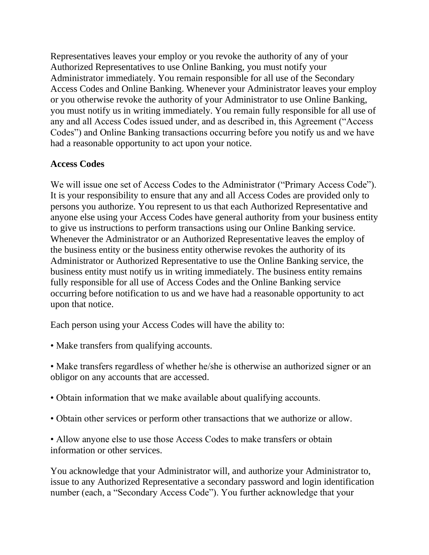Representatives leaves your employ or you revoke the authority of any of your Authorized Representatives to use Online Banking, you must notify your Administrator immediately. You remain responsible for all use of the Secondary Access Codes and Online Banking. Whenever your Administrator leaves your employ or you otherwise revoke the authority of your Administrator to use Online Banking, you must notify us in writing immediately. You remain fully responsible for all use of any and all Access Codes issued under, and as described in, this Agreement ("Access Codes") and Online Banking transactions occurring before you notify us and we have had a reasonable opportunity to act upon your notice.

### **Access Codes**

We will issue one set of Access Codes to the Administrator ("Primary Access Code"). It is your responsibility to ensure that any and all Access Codes are provided only to persons you authorize. You represent to us that each Authorized Representative and anyone else using your Access Codes have general authority from your business entity to give us instructions to perform transactions using our Online Banking service. Whenever the Administrator or an Authorized Representative leaves the employ of the business entity or the business entity otherwise revokes the authority of its Administrator or Authorized Representative to use the Online Banking service, the business entity must notify us in writing immediately. The business entity remains fully responsible for all use of Access Codes and the Online Banking service occurring before notification to us and we have had a reasonable opportunity to act upon that notice.

Each person using your Access Codes will have the ability to:

• Make transfers from qualifying accounts.

• Make transfers regardless of whether he/she is otherwise an authorized signer or an obligor on any accounts that are accessed.

- Obtain information that we make available about qualifying accounts.
- Obtain other services or perform other transactions that we authorize or allow.

• Allow anyone else to use those Access Codes to make transfers or obtain information or other services.

You acknowledge that your Administrator will, and authorize your Administrator to, issue to any Authorized Representative a secondary password and login identification number (each, a "Secondary Access Code"). You further acknowledge that your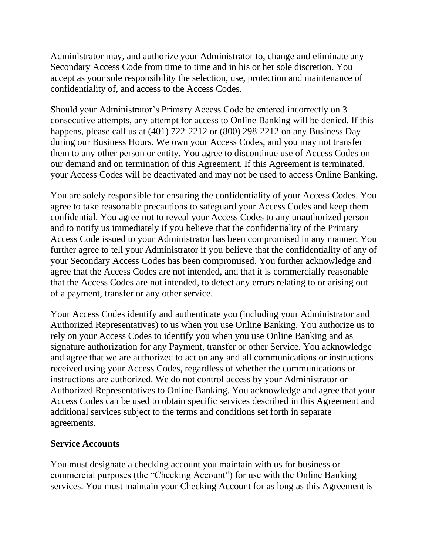Administrator may, and authorize your Administrator to, change and eliminate any Secondary Access Code from time to time and in his or her sole discretion. You accept as your sole responsibility the selection, use, protection and maintenance of confidentiality of, and access to the Access Codes.

Should your Administrator's Primary Access Code be entered incorrectly on 3 consecutive attempts, any attempt for access to Online Banking will be denied. If this happens, please call us at (401) 722-2212 or (800) 298-2212 on any Business Day during our Business Hours. We own your Access Codes, and you may not transfer them to any other person or entity. You agree to discontinue use of Access Codes on our demand and on termination of this Agreement. If this Agreement is terminated, your Access Codes will be deactivated and may not be used to access Online Banking.

You are solely responsible for ensuring the confidentiality of your Access Codes. You agree to take reasonable precautions to safeguard your Access Codes and keep them confidential. You agree not to reveal your Access Codes to any unauthorized person and to notify us immediately if you believe that the confidentiality of the Primary Access Code issued to your Administrator has been compromised in any manner. You further agree to tell your Administrator if you believe that the confidentiality of any of your Secondary Access Codes has been compromised. You further acknowledge and agree that the Access Codes are not intended, and that it is commercially reasonable that the Access Codes are not intended, to detect any errors relating to or arising out of a payment, transfer or any other service.

Your Access Codes identify and authenticate you (including your Administrator and Authorized Representatives) to us when you use Online Banking. You authorize us to rely on your Access Codes to identify you when you use Online Banking and as signature authorization for any Payment, transfer or other Service. You acknowledge and agree that we are authorized to act on any and all communications or instructions received using your Access Codes, regardless of whether the communications or instructions are authorized. We do not control access by your Administrator or Authorized Representatives to Online Banking. You acknowledge and agree that your Access Codes can be used to obtain specific services described in this Agreement and additional services subject to the terms and conditions set forth in separate agreements.

## **Service Accounts**

You must designate a checking account you maintain with us for business or commercial purposes (the "Checking Account") for use with the Online Banking services. You must maintain your Checking Account for as long as this Agreement is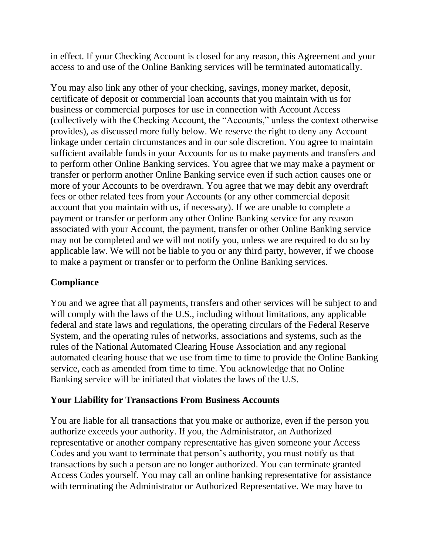in effect. If your Checking Account is closed for any reason, this Agreement and your access to and use of the Online Banking services will be terminated automatically.

You may also link any other of your checking, savings, money market, deposit, certificate of deposit or commercial loan accounts that you maintain with us for business or commercial purposes for use in connection with Account Access (collectively with the Checking Account, the "Accounts," unless the context otherwise provides), as discussed more fully below. We reserve the right to deny any Account linkage under certain circumstances and in our sole discretion. You agree to maintain sufficient available funds in your Accounts for us to make payments and transfers and to perform other Online Banking services. You agree that we may make a payment or transfer or perform another Online Banking service even if such action causes one or more of your Accounts to be overdrawn. You agree that we may debit any overdraft fees or other related fees from your Accounts (or any other commercial deposit account that you maintain with us, if necessary). If we are unable to complete a payment or transfer or perform any other Online Banking service for any reason associated with your Account, the payment, transfer or other Online Banking service may not be completed and we will not notify you, unless we are required to do so by applicable law. We will not be liable to you or any third party, however, if we choose to make a payment or transfer or to perform the Online Banking services.

## **Compliance**

You and we agree that all payments, transfers and other services will be subject to and will comply with the laws of the U.S., including without limitations, any applicable federal and state laws and regulations, the operating circulars of the Federal Reserve System, and the operating rules of networks, associations and systems, such as the rules of the National Automated Clearing House Association and any regional automated clearing house that we use from time to time to provide the Online Banking service, each as amended from time to time. You acknowledge that no Online Banking service will be initiated that violates the laws of the U.S.

## **Your Liability for Transactions From Business Accounts**

You are liable for all transactions that you make or authorize, even if the person you authorize exceeds your authority. If you, the Administrator, an Authorized representative or another company representative has given someone your Access Codes and you want to terminate that person's authority, you must notify us that transactions by such a person are no longer authorized. You can terminate granted Access Codes yourself. You may call an online banking representative for assistance with terminating the Administrator or Authorized Representative. We may have to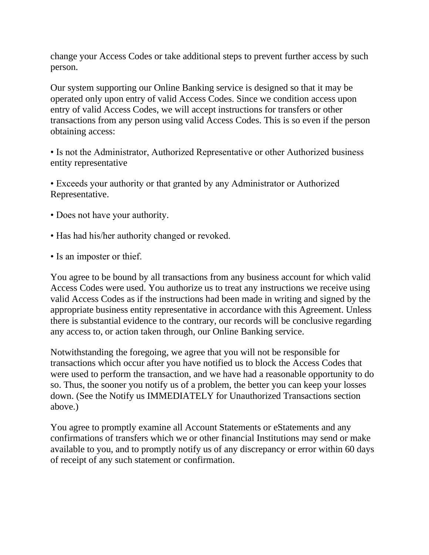change your Access Codes or take additional steps to prevent further access by such person.

Our system supporting our Online Banking service is designed so that it may be operated only upon entry of valid Access Codes. Since we condition access upon entry of valid Access Codes, we will accept instructions for transfers or other transactions from any person using valid Access Codes. This is so even if the person obtaining access:

• Is not the Administrator, Authorized Representative or other Authorized business entity representative

• Exceeds your authority or that granted by any Administrator or Authorized Representative.

- Does not have your authority.
- Has had his/her authority changed or revoked.
- Is an imposter or thief.

You agree to be bound by all transactions from any business account for which valid Access Codes were used. You authorize us to treat any instructions we receive using valid Access Codes as if the instructions had been made in writing and signed by the appropriate business entity representative in accordance with this Agreement. Unless there is substantial evidence to the contrary, our records will be conclusive regarding any access to, or action taken through, our Online Banking service.

Notwithstanding the foregoing, we agree that you will not be responsible for transactions which occur after you have notified us to block the Access Codes that were used to perform the transaction, and we have had a reasonable opportunity to do so. Thus, the sooner you notify us of a problem, the better you can keep your losses down. (See the Notify us IMMEDIATELY for Unauthorized Transactions section above.)

You agree to promptly examine all Account Statements or eStatements and any confirmations of transfers which we or other financial Institutions may send or make available to you, and to promptly notify us of any discrepancy or error within 60 days of receipt of any such statement or confirmation.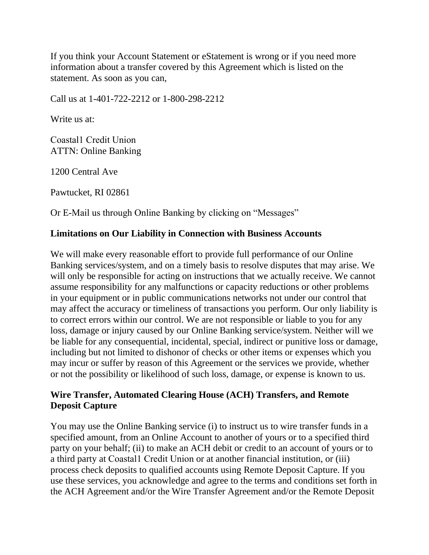If you think your Account Statement or eStatement is wrong or if you need more information about a transfer covered by this Agreement which is listed on the statement. As soon as you can,

Call us at 1-401-722-2212 or 1-800-298-2212

Write us at:

Coastal1 Credit Union ATTN: Online Banking

1200 Central Ave

Pawtucket, RI 02861

Or E-Mail us through Online Banking by clicking on "Messages"

#### **Limitations on Our Liability in Connection with Business Accounts**

We will make every reasonable effort to provide full performance of our Online Banking services/system, and on a timely basis to resolve disputes that may arise. We will only be responsible for acting on instructions that we actually receive. We cannot assume responsibility for any malfunctions or capacity reductions or other problems in your equipment or in public communications networks not under our control that may affect the accuracy or timeliness of transactions you perform. Our only liability is to correct errors within our control. We are not responsible or liable to you for any loss, damage or injury caused by our Online Banking service/system. Neither will we be liable for any consequential, incidental, special, indirect or punitive loss or damage, including but not limited to dishonor of checks or other items or expenses which you may incur or suffer by reason of this Agreement or the services we provide, whether or not the possibility or likelihood of such loss, damage, or expense is known to us.

## **Wire Transfer, Automated Clearing House (ACH) Transfers, and Remote Deposit Capture**

You may use the Online Banking service (i) to instruct us to wire transfer funds in a specified amount, from an Online Account to another of yours or to a specified third party on your behalf; (ii) to make an ACH debit or credit to an account of yours or to a third party at Coastal1 Credit Union or at another financial institution, or (iii) process check deposits to qualified accounts using Remote Deposit Capture. If you use these services, you acknowledge and agree to the terms and conditions set forth in the ACH Agreement and/or the Wire Transfer Agreement and/or the Remote Deposit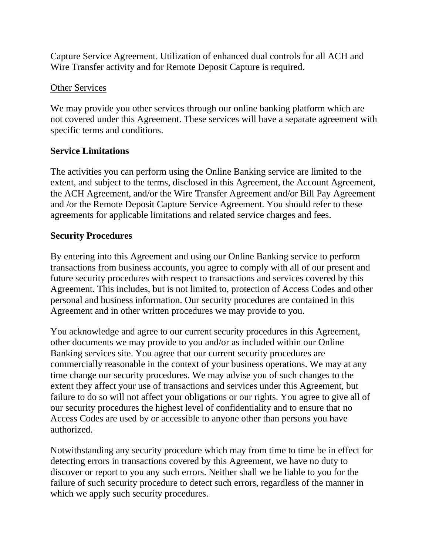Capture Service Agreement. Utilization of enhanced dual controls for all ACH and Wire Transfer activity and for Remote Deposit Capture is required.

## **Other Services**

We may provide you other services through our online banking platform which are not covered under this Agreement. These services will have a separate agreement with specific terms and conditions.

### **Service Limitations**

The activities you can perform using the Online Banking service are limited to the extent, and subject to the terms, disclosed in this Agreement, the Account Agreement, the ACH Agreement, and/or the Wire Transfer Agreement and/or Bill Pay Agreement and /or the Remote Deposit Capture Service Agreement. You should refer to these agreements for applicable limitations and related service charges and fees.

## **Security Procedures**

By entering into this Agreement and using our Online Banking service to perform transactions from business accounts, you agree to comply with all of our present and future security procedures with respect to transactions and services covered by this Agreement. This includes, but is not limited to, protection of Access Codes and other personal and business information. Our security procedures are contained in this Agreement and in other written procedures we may provide to you.

You acknowledge and agree to our current security procedures in this Agreement, other documents we may provide to you and/or as included within our Online Banking services site. You agree that our current security procedures are commercially reasonable in the context of your business operations. We may at any time change our security procedures. We may advise you of such changes to the extent they affect your use of transactions and services under this Agreement, but failure to do so will not affect your obligations or our rights. You agree to give all of our security procedures the highest level of confidentiality and to ensure that no Access Codes are used by or accessible to anyone other than persons you have authorized.

Notwithstanding any security procedure which may from time to time be in effect for detecting errors in transactions covered by this Agreement, we have no duty to discover or report to you any such errors. Neither shall we be liable to you for the failure of such security procedure to detect such errors, regardless of the manner in which we apply such security procedures.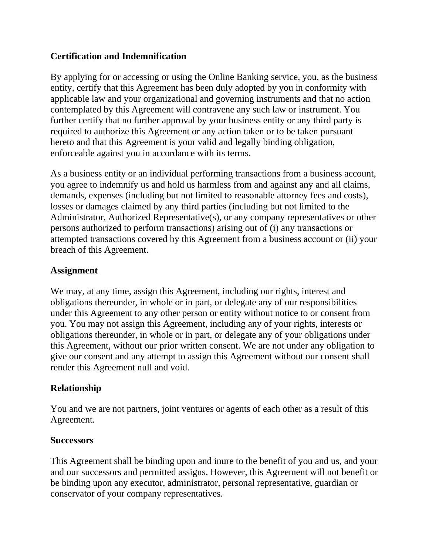## **Certification and Indemnification**

By applying for or accessing or using the Online Banking service, you, as the business entity, certify that this Agreement has been duly adopted by you in conformity with applicable law and your organizational and governing instruments and that no action contemplated by this Agreement will contravene any such law or instrument. You further certify that no further approval by your business entity or any third party is required to authorize this Agreement or any action taken or to be taken pursuant hereto and that this Agreement is your valid and legally binding obligation, enforceable against you in accordance with its terms.

As a business entity or an individual performing transactions from a business account, you agree to indemnify us and hold us harmless from and against any and all claims, demands, expenses (including but not limited to reasonable attorney fees and costs), losses or damages claimed by any third parties (including but not limited to the Administrator, Authorized Representative(s), or any company representatives or other persons authorized to perform transactions) arising out of (i) any transactions or attempted transactions covered by this Agreement from a business account or (ii) your breach of this Agreement.

### **Assignment**

We may, at any time, assign this Agreement, including our rights, interest and obligations thereunder, in whole or in part, or delegate any of our responsibilities under this Agreement to any other person or entity without notice to or consent from you. You may not assign this Agreement, including any of your rights, interests or obligations thereunder, in whole or in part, or delegate any of your obligations under this Agreement, without our prior written consent. We are not under any obligation to give our consent and any attempt to assign this Agreement without our consent shall render this Agreement null and void.

## **Relationship**

You and we are not partners, joint ventures or agents of each other as a result of this Agreement.

#### **Successors**

This Agreement shall be binding upon and inure to the benefit of you and us, and your and our successors and permitted assigns. However, this Agreement will not benefit or be binding upon any executor, administrator, personal representative, guardian or conservator of your company representatives.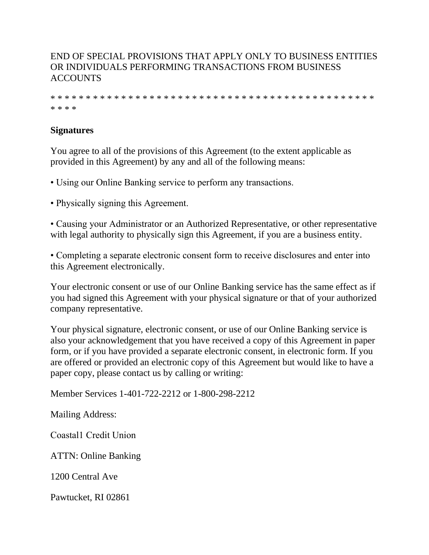## END OF SPECIAL PROVISIONS THAT APPLY ONLY TO BUSINESS ENTITIES OR INDIVIDUALS PERFORMING TRANSACTIONS FROM BUSINESS **ACCOUNTS**

\* \* \* \* \* \* \* \* \* \* \* \* \* \* \* \* \* \* \* \* \* \* \* \* \* \* \* \* \* \* \* \* \* \* \* \* \* \* \* \* \* \* \* \* \* \* \* \* \* \*

## **Signatures**

You agree to all of the provisions of this Agreement (to the extent applicable as provided in this Agreement) by any and all of the following means:

- Using our Online Banking service to perform any transactions.
- Physically signing this Agreement.

• Causing your Administrator or an Authorized Representative, or other representative with legal authority to physically sign this Agreement, if you are a business entity.

• Completing a separate electronic consent form to receive disclosures and enter into this Agreement electronically.

Your electronic consent or use of our Online Banking service has the same effect as if you had signed this Agreement with your physical signature or that of your authorized company representative.

Your physical signature, electronic consent, or use of our Online Banking service is also your acknowledgement that you have received a copy of this Agreement in paper form, or if you have provided a separate electronic consent, in electronic form. If you are offered or provided an electronic copy of this Agreement but would like to have a paper copy, please contact us by calling or writing:

Member Services 1-401-722-2212 or 1-800-298-2212

Mailing Address:

Coastal1 Credit Union

ATTN: Online Banking

1200 Central Ave

Pawtucket, RI 02861